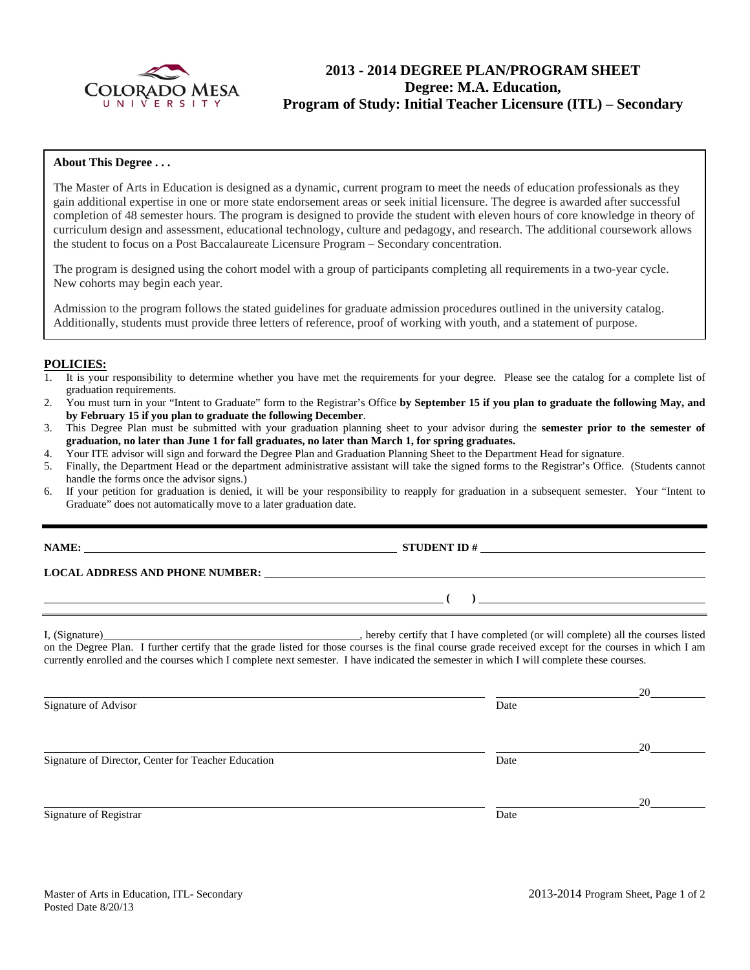

# **2013 - 2014 DEGREE PLAN/PROGRAM SHEET Degree: M.A. Education, Program of Study: Initial Teacher Licensure (ITL) – Secondary**

#### **About This Degree . . .**

The Master of Arts in Education is designed as a dynamic, current program to meet the needs of education professionals as they gain additional expertise in one or more state endorsement areas or seek initial licensure. The degree is awarded after successful completion of 48 semester hours. The program is designed to provide the student with eleven hours of core knowledge in theory of curriculum design and assessment, educational technology, culture and pedagogy, and research. The additional coursework allows the student to focus on a Post Baccalaureate Licensure Program – Secondary concentration.

The program is designed using the cohort model with a group of participants completing all requirements in a two-year cycle. New cohorts may begin each year.

Admission to the program follows the stated guidelines for graduate admission procedures outlined in the university catalog. Additionally, students must provide three letters of reference, proof of working with youth, and a statement of purpose.

#### **POLICIES:**

- 1. It is your responsibility to determine whether you have met the requirements for your degree. Please see the catalog for a complete list of graduation requirements.
- 2. You must turn in your "Intent to Graduate" form to the Registrar's Office **by September 15 if you plan to graduate the following May, and by February 15 if you plan to graduate the following December**.
- 3. This Degree Plan must be submitted with your graduation planning sheet to your advisor during the **semester prior to the semester of graduation, no later than June 1 for fall graduates, no later than March 1, for spring graduates.**
- 4. Your ITE advisor will sign and forward the Degree Plan and Graduation Planning Sheet to the Department Head for signature.
- 5. Finally, the Department Head or the department administrative assistant will take the signed forms to the Registrar's Office. (Students cannot handle the forms once the advisor signs.)
- 6. If your petition for graduation is denied, it will be your responsibility to reapply for graduation in a subsequent semester. Your "Intent to Graduate" does not automatically move to a later graduation date.

**NAME: STUDENT ID #** 

**LOCAL ADDRESS AND PHONE NUMBER:**

I, (Signature) , hereby certify that I have completed (or will complete) all the courses listed on the Degree Plan. I further certify that the grade listed for those courses is the final course grade received except for the courses in which I am currently enrolled and the courses which I complete next semester. I have indicated the semester in which I will complete these courses.

<u>20</u> Signature of Advisor Date <u>20</u> Signature of Director, Center for Teacher Education Date <u>20</u> Signature of Registrar Date Date and Security and Security and Security and Security and Security and Security and Security and Security and Security and Security and Security and Security and Security and Security and Sec

 **( )**